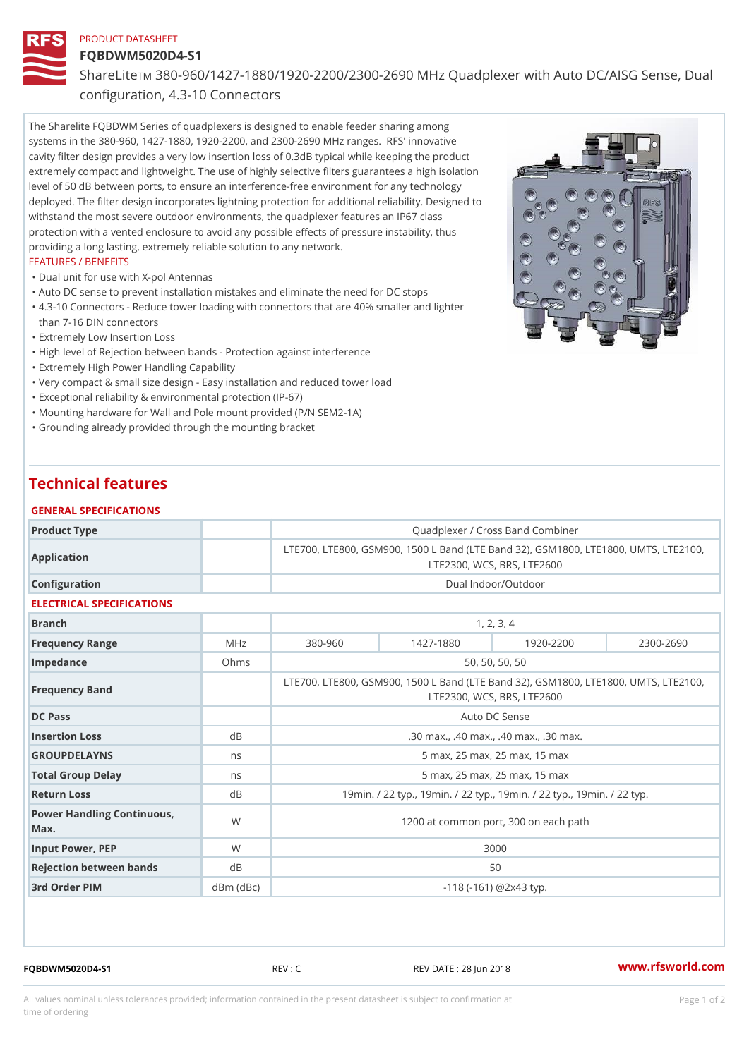#### PRODUCT DATASHEET

### FQBDWM5020D4-S1

Share LTM 880-960/1427-1880/1920-2200/2300-2690 MHz Quadplexer with

configuration, 4.3-10 Connectors

The Sharelite FQBDWM Series of quadplexers is designed to enable feeder sharing among systems in the 380-960, 1427-1880, 1920-2200, and 2300-2690 MHz ranges. RFS' innovative cavity filter design provides a very low insertion loss of 0.3dB typical while keeping the product extremely compact and lightweight. The use of highly selective filters guarantees a high isolation level of 50 dB between ports, to ensure an interference-free environment for any technology deployed. The filter design incorporates lightning protection for additional reliability. Designed to withstand the most severe outdoor environments, the quadplexer features an IP67 class protection with a vented enclosure to avoid any possible effects of pressure instability, thus providing a long lasting, extremely reliable solution to any network.

# FEATURES / BENEFITS

- "Dual unit for use with X-pol Antennas
- "Auto DC sense to prevent installation mistakes and eliminate the need for DC stops
- 4.3-10 Connectors Reduce tower loading with connectors that are 40% smaller and lighter "
- than 7-16 DIN connectors
- "Extremely Low Insertion Loss
- "High level of Rejection between bands Protection against interference
- "Extremely High Power Handling Capability
- "Very compact & small size design Easy installation and reduced tower load
- "Exceptional reliability & environmental protection (IP-67)
- "Mounting hardware for Wall and Pole mount provided (P/N SEM2-1A)
- "Grounding already provided through the mounting bracket

# Technical features

### GENERAL SPECIFICATIONS

| Product Type                         |               | Quadplexer / Cross Band Combiner                                                         |               |           |               |  |
|--------------------------------------|---------------|------------------------------------------------------------------------------------------|---------------|-----------|---------------|--|
| Application                          |               | LTE700, LTE800, GSM900, 1500 L Band (LTE Band 32), GSM 800<br>LTE2300, WCS, BRS, LTE2600 |               |           |               |  |
| Configuration                        |               | Dual Indoor/Outdoor                                                                      |               |           |               |  |
| ELECTRICAL SPECIFICATIONS            |               |                                                                                          |               |           |               |  |
| Branch                               |               | 1, 2, 3, 4                                                                               |               |           |               |  |
| Frequency Range                      | MHz           | $380 - 960$                                                                              | $1427 - 1880$ | 1920-2200 | $2300 - 2690$ |  |
| Impedance                            | Ohms          | 50, 50, 50, 50                                                                           |               |           |               |  |
| Frequency Band                       |               | LTE700, LTE800, GSM900, 1500 L Band (LTE Band 32), GSM1800<br>LTE2300, WCS, BRS, LTE2600 |               |           |               |  |
| DC Pass                              |               | Auto DC Sense                                                                            |               |           |               |  |
| Insertion Loss                       | dB            | .30 max., .40 max., .40 max., .30 max.                                                   |               |           |               |  |
| <b>GROUPDELAYNS</b>                  | n s           | 5 max, 25 max, 25 max, 15 max                                                            |               |           |               |  |
| Total Group Delay                    | n s           | 5 max, 25 max, 25 max, 15 max                                                            |               |           |               |  |
| Return Loss                          | dB            | 19 min. / 22 typ., 19 min. / 22 typ., 19 min. / 22 typ., 19 mi                           |               |           |               |  |
| Power Handling Continuous, W<br>Max. |               | 1200 at common port, 300 on each path                                                    |               |           |               |  |
| Input Power, PEP                     | W             | 3000                                                                                     |               |           |               |  |
| Rejection between bands              | d B           | 50                                                                                       |               |           |               |  |
| 3rd Order PIM                        | $dBm$ $(dBc)$ | $-118$ ( $-161$ ) @ 2 x 4 3 typ.                                                         |               |           |               |  |
|                                      |               |                                                                                          |               |           |               |  |

FQBDWM5020D4-S1 REV : C REV DATE : 28 Jun 2018 [www.](https://www.rfsworld.com)rfsworld.com